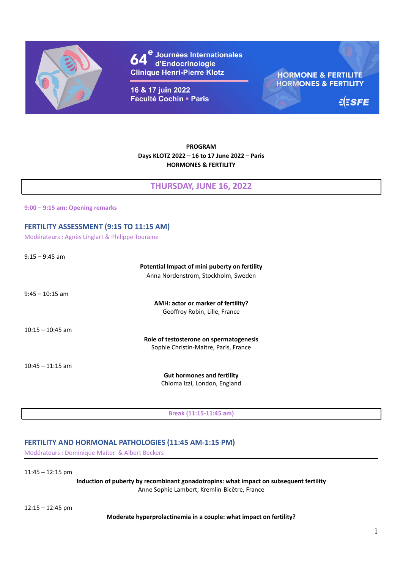

e Journées Internationales<br>' d'Endocrinologie **Clinique Henri-Pierre Klotz** 

16 & 17 juin 2022 **Faculté Cochin - Paris** 

**HORMONE & FERTILITE HORMONES & FERTILITY** 

 $E$ ESFE

### **PROGRAM Days KLOTZ 2022 – 16 to 17 June 2022 – Paris HORMONES & FERTILITY**

## **THURSDAY, JUNE 16, 2022**

**9:00 – 9:15 am: Opening remarks**

### **FERTILITY ASSESSMENT (9:15 TO 11:15 AM)**

Modérateurs : Agnès Linglart & Philippe Touraine

9:15 – 9:45 am

# **Potential Impact of mini puberty on fertility**

Anna Nordenstrom, Stockholm, Sweden

9:45 – 10:15 am

**AMH: actor or marker of fertility?** Geoffroy Robin, Lille, France

10:15 – 10:45 am

**Role of testosterone on spermatogenesis** Sophie Christin-Maitre, Paris, France

10:45 – 11:15 am

**Gut hormones and fertility** Chioma Izzi, London, England

**Break (11:15-11:45 am)**

### **FERTILITY AND HORMONAL PATHOLOGIES (11:45 AM-1:15 PM)**

Modérateurs : Dominique Maiter & Albert Beckers

11:45 – 12:15 pm

**Induction of puberty by recombinant gonadotropins: what impact on subsequent fertility** Anne Sophie Lambert, Kremlin-Bicêtre, France

12:15 – 12:45 pm

**Moderate hyperprolactinemia in a couple: what impact on fertility?**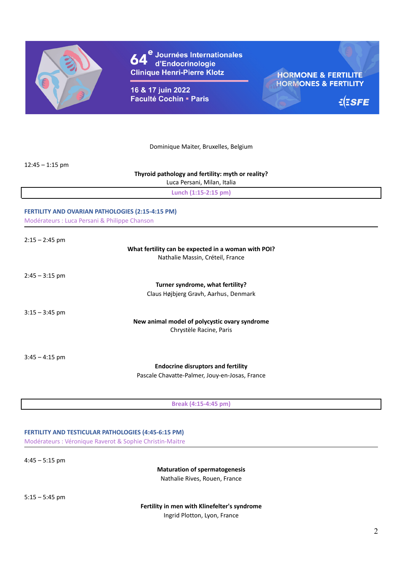

e<br>Universitationales<br>Universitationales **Clinique Henri-Pierre Klotz** 

16 & 17 juin 2022 **Faculté Cochin - Paris** 

**HORMONE & FERTILITE HORMONES & FERTILITY** 

 $\frac{1}{2}$ ESFE

Dominique Maiter, Bruxelles, Belgium

12:45 – 1:15 pm

### **Thyroid pathology and fertility: myth or reality?**

Luca Persani, Milan, Italia

**Lunch (1:15-2:15 pm)**

# **FERTILITY AND OVARIAN PATHOLOGIES (2:15-4:15 PM)**

Modérateurs : Luca Persani & Philippe Chanson

### **What fertility can be expected in a woman with POI?** Nathalie Massin, Créteil, France

 $2:45 - 3:15$  pm

**Turner syndrome, what fertility?** Claus Højbjerg Gravh, Aarhus, Denmark

 $3:15 - 3:45$  pm

**New animal model of polycystic ovary syndrome** Chrystèle Racine, Paris

 $3:45 - 4:15$  pm

**Endocrine disruptors and fertility** Pascale Chavatte-Palmer, Jouy-en-Josas, France

**Break (4:15-4:45 pm)**

**FERTILITY AND TESTICULAR PATHOLOGIES (4:45-6:15 PM)** Modérateurs : Véronique Raverot & Sophie Christin-Maitre

 $4:45 - 5:15$  pm

**Maturation of spermatogenesis** Nathalie Rives, Rouen, France

 $5:15 - 5:45$  pm

**Fertility in men with Klinefelter's syndrome**

Ingrid Plotton, Lyon, France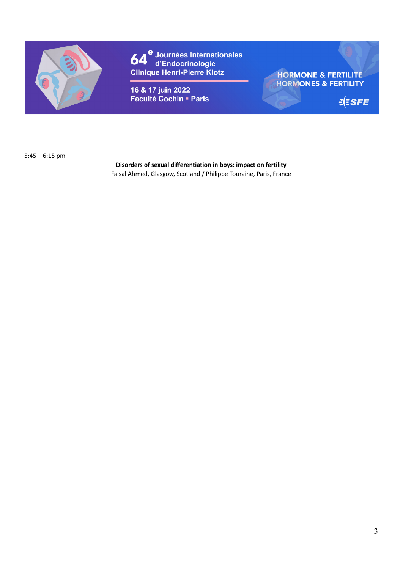

e<br>Universitationales<br>La d'Endocrinologie 64 **Clinique Henri-Pierre Klotz** 

16 & 17 juin 2022 Faculté Cochin - Paris **HORMONE & FERTILITE HORMONES & FERTILITY** 

 $\leq$   $SEE$ 

5:45 – 6:15 pm

**Disorders of sexual differentiation in boys: impact on fertility** Faisal Ahmed, Glasgow, Scotland / Philippe Touraine, Paris, France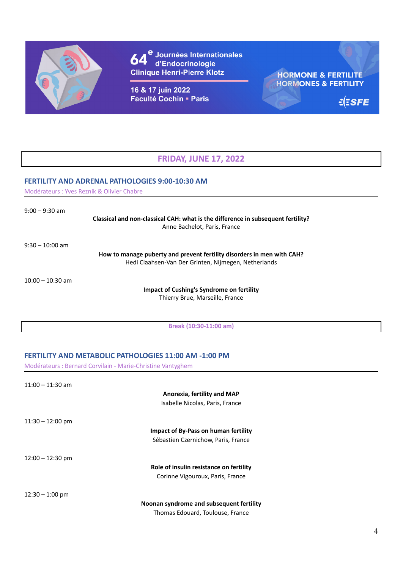

e<br>d'Endocrinologie<br>d'Endocrinologie 64 **Clinique Henri-Pierre Klotz** 

16 & 17 juin 2022 **Faculté Cochin - Paris** 

**HORMONE & FERTILITE HORMONES & FERTILITY** 

 $\frac{1}{2}$ ESFE

# **FRIDAY, JUNE 17, 2022**

### **FERTILITY AND ADRENAL PATHOLOGIES 9:00-10:30 AM**

Modérateurs : Yves Reznik & Olivier Chabre

9:00 – 9:30 am

**Classical and non-classical CAH: what is the difference in subsequent fertility?** Anne Bachelot, Paris, France

9:30 – 10:00 am

**How to manage puberty and prevent fertility disorders in men with CAH?** Hedi Claahsen-Van Der Grinten, Nijmegen, Netherlands

10:00 – 10:30 am

**Impact of Cushing's Syndrome on fertility** Thierry Brue, Marseille, France

**Break (10:30-11:00 am)**

## **FERTILITY AND METABOLIC PATHOLOGIES 11:00 AM -1:00 PM**

Modérateurs : Bernard Corvilain - Marie-Christine Vantyghem

| $11:00 - 11:30$ am |                                          |
|--------------------|------------------------------------------|
|                    | Anorexia, fertility and MAP              |
|                    | Isabelle Nicolas, Paris, France          |
| $11:30 - 12:00$ pm |                                          |
|                    | Impact of By-Pass on human fertility     |
|                    | Sébastien Czernichow, Paris, France      |
| $12:00 - 12:30$ pm |                                          |
|                    | Role of insulin resistance on fertility  |
|                    | Corinne Vigouroux, Paris, France         |
| $12:30 - 1:00$ pm  |                                          |
|                    | Noonan syndrome and subsequent fertility |
|                    | Thomas Edouard, Toulouse, France         |